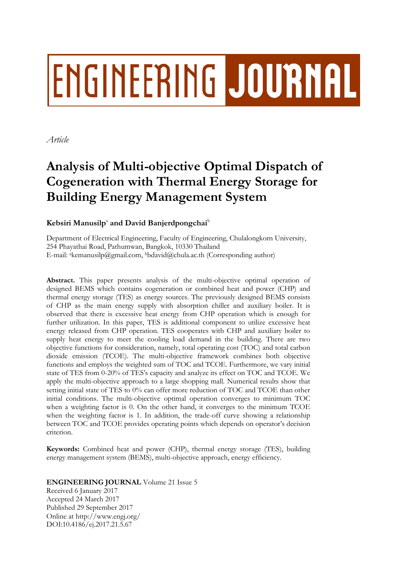# **ENGINEERING JOURNAL**

*Article*

# **Analysis of Multi-objective Optimal Dispatch of Cogeneration with Thermal Energy Storage for Building Energy Management System**

# $\mathbf K$ ebsiri Manusilp<sup>a</sup> and David Banjerdpongchai<sup>b</sup>

Department of Electrical Engineering, Faculty of Engineering, Chulalongkorn University, 254 Phayathai Road, Pathumwan, Bangkok, 10330 Thailand E-mail: akemanusilp@gmail.com, <sup>b</sup>bdavid@chula.ac.th (Corresponding author)

**Abstract.** This paper presents analysis of the multi-objective optimal operation of designed BEMS which contains cogeneration or combined heat and power (CHP) and thermal energy storage (TES) as energy sources. The previously designed BEMS consists of CHP as the main energy supply with absorption chiller and auxiliary boiler. It is observed that there is excessive heat energy from CHP operation which is enough for further utilization. In this paper, TES is additional component to utilize excessive heat energy released from CHP operation. TES cooperates with CHP and auxiliary boiler to supply heat energy to meet the cooling load demand in the building. There are two objective functions for consideration, namely, total operating cost (TOC) and total carbon dioxide emission (TCOE). The multi-objective framework combines both objective functions and employs the weighted sum of TOC and TCOE. Furthermore, we vary initial state of TES from 0-20% of TES's capacity and analyze its effect on TOC and TCOE. We apply the multi-objective approach to a large shopping mall. Numerical results show that setting initial state of TES to 0% can offer more reduction of TOC and TCOE than other initial conditions. The multi-objective optimal operation converges to minimum TOC when a weighting factor is 0. On the other hand, it converges to the minimum TCOE when the weighting factor is 1. In addition, the trade-off curve showing a relationship between TOC and TCOE provides operating points which depends on operator's decision criterion.

**Keywords:** Combined heat and power (CHP), thermal energy storage (TES), building energy management system (BEMS), multi-objective approach, energy efficiency.

# **ENGINEERING JOURNAL** Volume 21 Issue 5

Received 6 January 2017 Accepted 24 March 2017 Published 29 September 2017 Online at http://www.engj.org/ DOI:10.4186/ej.2017.21.5.67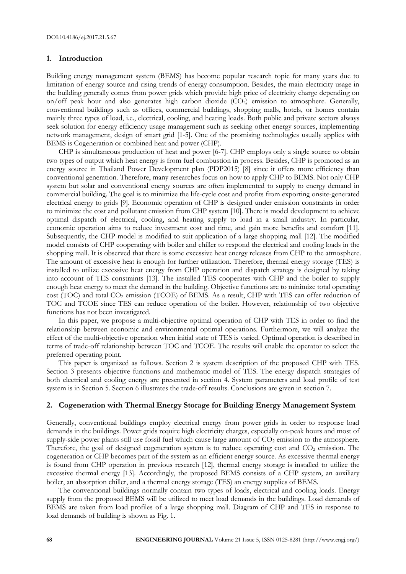# **1. Introduction**

Building energy management system (BEMS) has become popular research topic for many years due to limitation of energy source and rising trends of energy consumption. Besides, the main electricity usage in the building generally comes from power grids which provide high price of electricity charge depending on on/off peak hour and also generates high carbon dioxide  $(CO<sub>2</sub>)$  emission to atmosphere. Generally, conventional buildings such as offices, commercial buildings, shopping malls, hotels, or homes contain mainly three types of load, i.e., electrical, cooling, and heating loads. Both public and private sectors always seek solution for energy efficiency usage management such as seeking other energy sources, implementing network management, design of smart grid [1-5]. One of the promising technologies usually applies with BEMS is Cogeneration or combined heat and power (CHP).

CHP is simultaneous production of heat and power [6-7]. CHP employs only a single source to obtain two types of output which heat energy is from fuel combustion in process. Besides, CHP is promoted as an energy source in Thailand Power Development plan (PDP2015) [8] since it offers more efficiency than conventional generation. Therefore, many researches focus on how to apply CHP to BEMS. Not only CHP system but solar and conventional energy sources are often implemented to supply to energy demand in commercial building. The goal is to minimize the life-cycle cost and profits from exporting onsite-generated electrical energy to grids [9]. Economic operation of CHP is designed under emission constraints in order to minimize the cost and pollutant emission from CHP system [10]. There is model development to achieve optimal dispatch of electrical, cooling, and heating supply to load in a small industry. In particular, economic operation aims to reduce investment cost and time, and gain more benefits and comfort [11]. Subsequently, the CHP model is modified to suit application of a large shopping mall [12]. The modified model consists of CHP cooperating with boiler and chiller to respond the electrical and cooling loads in the shopping mall. It is observed that there is some excessive heat energy releases from CHP to the atmosphere. The amount of excessive heat is enough for further utilization. Therefore, thermal energy storage (TES) is installed to utilize excessive heat energy from CHP operation and dispatch strategy is designed by taking into account of TES constraints [13]. The installed TES cooperates with CHP and the boiler to supply enough heat energy to meet the demand in the building. Objective functions are to minimize total operating cost (TOC) and total CO<sub>2</sub> emission (TCOE) of BEMS. As a result, CHP with TES can offer reduction of TOC and TCOE since TES can reduce operation of the boiler. However, relationship of two objective functions has not been investigated.

In this paper, we propose a multi-objective optimal operation of CHP with TES in order to find the relationship between economic and environmental optimal operations. Furthermore, we will analyze the effect of the multi-objective operation when initial state of TES is varied. Optimal operation is described in terms of trade-off relationship between TOC and TCOE. The results will enable the operator to select the preferred operating point.

This paper is organized as follows. Section 2 is system description of the proposed CHP with TES. Section 3 presents objective functions and mathematic model of TES. The energy dispatch strategies of both electrical and cooling energy are presented in section 4. System parameters and load profile of test system is in Section 5. Section 6 illustrates the trade-off results. Conclusions are given in section 7.

# **2. Cogeneration with Thermal Energy Storage for Building Energy Management System**

Generally, conventional buildings employ electrical energy from power grids in order to response load demands in the buildings. Power grids require high electricity charges, especially on-peak hours and most of supply-side power plants still use fossil fuel which cause large amount of CO<sub>2</sub> emission to the atmosphere. Therefore, the goal of designed cogeneration system is to reduce operating cost and  $CO<sub>2</sub>$  emission. The cogeneration or CHP becomes part of the system as an efficient energy source. As excessive thermal energy is found from CHP operation in previous research [12], thermal energy storage is installed to utilize the excessive thermal energy [13]. Accordingly, the proposed BEMS consists of a CHP system, an auxiliary boiler, an absorption chiller, and a thermal energy storage (TES) an energy supplies of BEMS.

The conventional buildings normally contain two types of loads, electrical and cooling loads. Energy supply from the proposed BEMS will be utilized to meet load demands in the buildings. Load demands of BEMS are taken from load profiles of a large shopping mall. Diagram of CHP and TES in response to load demands of building is shown as Fig. 1.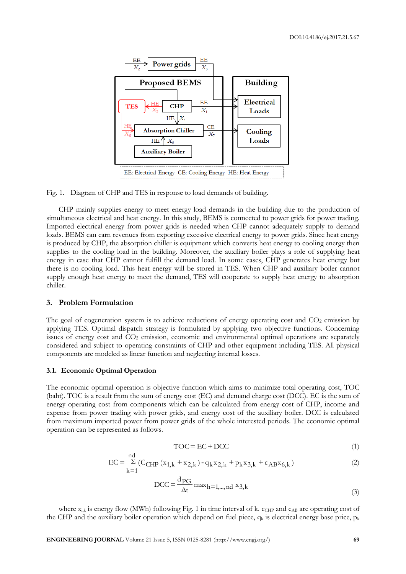

Fig. 1. Diagram of CHP and TES in response to load demands of building.

CHP mainly supplies energy to meet energy load demands in the building due to the production of simultaneous electrical and heat energy. In this study, BEMS is connected to power grids for power trading. Imported electrical energy from power grids is needed when CHP cannot adequately supply to demand loads. BEMS can earn revenues from exporting excessive electrical energy to power grids. Since heat energy is produced by CHP, the absorption chiller is equipment which converts heat energy to cooling energy then supplies to the cooling load in the building. Moreover, the auxiliary boiler plays a role of supplying heat energy in case that CHP cannot fulfill the demand load. In some cases, CHP generates heat energy but there is no cooling load. This heat energy will be stored in TES. When CHP and auxiliary boiler cannot supply enough heat energy to meet the demand, TES will cooperate to supply heat energy to absorption chiller.

# **3. Problem Formulation**

The goal of cogeneration system is to achieve reductions of energy operating cost and  $CO<sub>2</sub>$  emission by applying TES. Optimal dispatch strategy is formulated by applying two objective functions. Concerning issues of energy cost and CO<sub>2</sub> emission, economic and environmental optimal operations are separately considered and subject to operating constraints of CHP and other equipment including TES. All physical components are modeled as linear function and neglecting internal losses.

#### **3.1. Economic Optimal Operation**

The economic optimal operation is objective function which aims to minimize total operating cost, TOC (baht). TOC is a result from the sum of energy cost (EC) and demand charge cost (DCC). EC is the sum of energy operating cost from components which can be calculated from energy cost of CHP, income and expense from power trading with power grids, and energy cost of the auxiliary boiler. DCC is calculated from maximum imported power from power grids of the whole interested periods. The economic optimal operation can be represented as follows.

$$
TOC = EC + DCC
$$
 (1)

$$
EC = \sum_{k=1}^{nd} (C_{CHP} (x_{1,k} + x_{2,k}) - q_k x_{2,k} + p_k x_{3,k} + c_{AB} x_{6,k})
$$
 (2)

$$
DCC = \frac{d_{PG}}{\Delta t} \max_{h=1,\dots,nd} x_{3,k}
$$
 (3)

where  $x_{i,k}$  is energy flow (MWh) following Fig. 1 in time interval of k.  $c_{CHP}$  and  $c_{AB}$  are operating cost of the CHP and the auxiliary boiler operation which depend on fuel piece,  $q_k$  is electrical energy base price,  $p_k$ 

**ENGINEERING JOURNAL** Volume 21 Issue 5, ISSN 0125-8281 (http://www.engj.org/) **69**

nd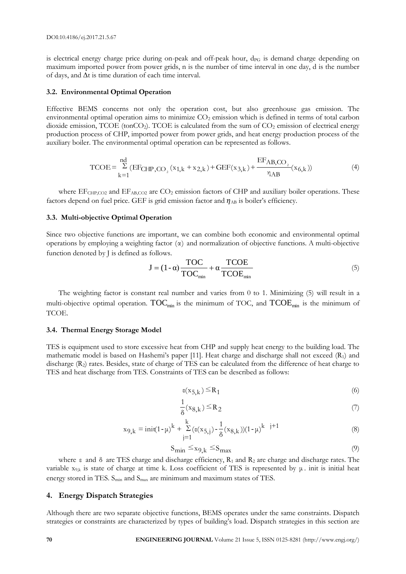is electrical energy charge price during on-peak and off-peak hour,  $d_{PG}$  is demand charge depending on maximum imported power from power grids, n is the number of time interval in one day, d is the number of days, and ∆t is time duration of each time interval.

#### **3.2. Environmental Optimal Operation**

Effective BEMS concerns not only the operation cost, but also greenhouse gas emission. The environmental optimal operation aims to minimize  $CO<sub>2</sub>$  emission which is defined in terms of total carbon dioxide emission,  $TCOE$  (ton $CO<sub>2</sub>$ ). TCOE is calculated from the sum of  $CO<sub>2</sub>$  emission of electrical energy production process of CHP, imported power from power grids, and heat energy production process of the auxiliary boiler. The environmental optimal operation can be represented as follows.

$$
TCOE = \sum_{k=1}^{nd} (EF_{CHP,CO_2}(x_{1,k} + x_{2,k}) + GEF(x_{3,k}) + \frac{EF_{AB,CO_2}}{\eta_{AB}}(x_{6,k}))
$$
(4)

where  $EF<sub>CHP,CO2</sub>$  and  $EF<sub>AB,CO2</sub>$  are  $CO<sub>2</sub>$  emission factors of CHP and auxiliary boiler operations. These factors depend on fuel price. GEF is grid emission factor and  $\eta_{AB}$  is boiler's efficiency.

#### **3.3. Multi-objective Optimal Operation**

Since two objective functions are important, we can combine both economic and environmental optimal operations by employing a weighting factor (α) and normalization of objective functions. A multi-objective function denoted by J is defined as follows.

$$
J = (1 - \alpha) \frac{TOC}{TOC_{min}} + \alpha \frac{TCOE}{TCOE_{min}}
$$
 (5)

The weighting factor is constant real number and varies from 0 to 1. Minimizing (5) will result in a multi-objective optimal operation.  $\mathrm{TOC}_{\mathrm{min}}$  is the minimum of TOC, and  $\mathrm{TCOE}_{\mathrm{min}}$  is the minimum of TCOE.

# **3.4. Thermal Energy Storage Model**

TES is equipment used to store excessive heat from CHP and supply heat energy to the building load. The mathematic model is based on Hashemi's paper [11]. Heat charge and discharge shall not exceed (R1) and discharge (R<sub>2</sub>) rates. Besides, state of charge of TES can be calculated from the difference of heat charge to TES and heat discharge from TES. Constraints of TES can be described as follows:

$$
\epsilon(x_{5,k}) \le R_1 \tag{6}
$$

$$
\frac{1}{\delta}(\mathbf{x}_{8,k}) \leq \mathbf{R}_2 \tag{7}
$$

$$
x_{9,k} = init(1-\mu)^{k} + \sum_{j=1}^{k} (\epsilon(x_{5,j}) - \frac{1}{\delta}(x_{8,k}))(1-\mu)^{k} \quad j+1
$$
\n(8)

$$
S_{\min} \leq x_{9,k} \leq S_{\max} \tag{9}
$$

where  $\varepsilon$  and  $\delta$  are TES charge and discharge efficiency,  $R_1$  and  $R_2$  are charge and discharge rates. The variable  $x_{9,k}$  is state of charge at time k. Loss coefficient of TES is represented by  $\mu$ . init is initial heat energy stored in TES.  $S_{min}$  and  $S_{max}$  are minimum and maximum states of TES.

# **4. Energy Dispatch Strategies**

Although there are two separate objective functions, BEMS operates under the same constraints. Dispatch strategies or constraints are characterized by types of building's load. Dispatch strategies in this section are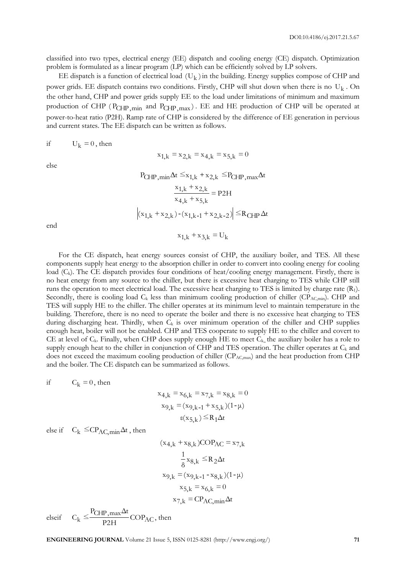classified into two types, electrical energy (EE) dispatch and cooling energy (CE) dispatch. Optimization problem is formulated as a linear program (LP) which can be efficiently solved by LP solvers.

EE dispatch is a function of electrical load  $(U_k)$  in the building. Energy supplies compose of CHP and power grids. EE dispatch contains two conditions. Firstly, CHP will shut down when there is no  $\rm U_k$  . On the other hand, CHP and power grids supply EE to the load under limitations of minimum and maximum production of CHP (P<sub>CHP,min</sub> and P<sub>CHP,max</sub>). EE and HE production of CHP will be operated at power-to-heat ratio (P2H). Ramp rate of CHP is considered by the difference of EE generation in pervious and current states. The EE dispatch can be written as follows.

if  $U_k = 0$ , then

else

$$
P_{CHP,min} \Delta t \le x_{1,k} + x_{2,k} \le P_{CHP,max} \Delta t
$$

$$
\frac{x_{1,k} + x_{2,k}}{x_{4,k} + x_{5,k}} = P2H
$$

$$
|(x_{1,k} + x_{2,k}) - (x_{1,k-1} + x_{2,k-2})| \le R_{CHP} \Delta t
$$

$$
x_{1,k} + x_{3,k} = U_k
$$

 $x_{1 k} = x_{2 k} = x_{4 k} = x_{5 k} = 0$ 

end

For the CE dispatch, heat energy sources consist of CHP, the auxiliary boiler, and TES. All these components supply heat energy to the absorption chiller in order to convert into cooling energy for cooling load (C<sub>k</sub>). The CE dispatch provides four conditions of heat/cooling energy management. Firstly, there is no heat energy from any source to the chiller, but there is excessive heat charging to TES while CHP still runs the operation to meet electrical load. The excessive heat charging to TES is limited by charge rate (R1). Secondly, there is cooling load C<sub>k</sub> less than minimum cooling production of chiller (CP<sub>AC,min</sub>). CHP and TES will supply HE to the chiller. The chiller operates at its minimum level to maintain temperature in the building. Therefore, there is no need to operate the boiler and there is no excessive heat charging to TES during discharging heat. Thirdly, when  $C_k$  is over minimum operation of the chiller and CHP supplies enough heat, boiler will not be enabled. CHP and TES cooperate to supply HE to the chiller and covert to CE at level of  $C_k$ . Finally, when CHP does supply enough HE to meet  $C_{k_n}$  the auxiliary boiler has a role to supply enough heat to the chiller in conjunction of CHP and TES operation. The chiller operates at  $C_k$  and does not exceed the maximum cooling production of chiller  $(CP_{AC,max})$  and the heat production from CHP and the boiler. The CE dispatch can be summarized as follows.

if  $C_{k} = 0$ , then

$$
x_{4,k} = x_{6,k} = x_{7,k} = x_{8,k} = 0
$$
  

$$
x_{9,k} = (x_{9,k-1} + x_{5,k})(1-\mu)
$$
  

$$
\epsilon(x_{5,k}) \le R_1 \Delta t
$$

else if  $C_k \leq CP_{AC,min}\Delta t$ , then

$$
(x_{4,k} + x_{8,k})COP_{AC} = x_{7,k}
$$

$$
\frac{1}{8}x_{8,k} \le R_2 \Delta t
$$

$$
x_{9,k} = (x_{9,k-1} - x_{8,k})(1 - \mu)
$$

$$
x_{5,k} = x_{6,k} = 0
$$

$$
x_{7,k} = CP_{AC,min} \Delta t
$$

elseif  $C_k \leq \frac{C_{\text{H}} \cdot \text{max}}{D2H} \text{COP}_{\text{AC}}$  $k \leq \frac{P_{\text{CHP},\text{max}}\Delta t}{P2H}$ COP  $P_{CHP,max}\Delta t$  $C_k \leq \frac{C_{\text{C1}} \cdot \text{max}}{D_{\text{Q1}} \cdot \text{max}} \text{COP}_{\text{AC}}$ , then

**ENGINEERING JOURNAL** Volume 21 Issue 5, ISSN 0125-8281 (http://www.engj.org/) **71**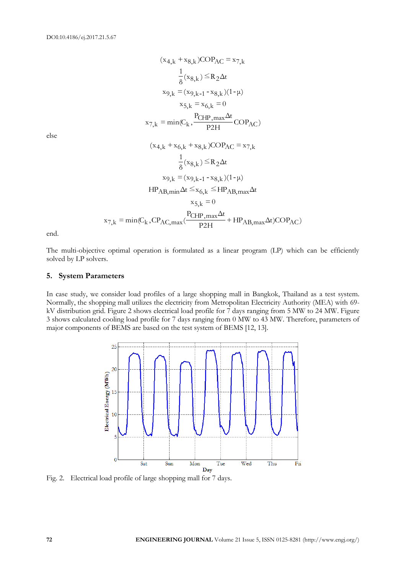$$
(x_{4,k} + x_{8,k})COP_{AC} = x_{7,k}
$$
  
\n
$$
\frac{1}{8}(x_{8,k}) \le R_2 \Delta t
$$
  
\n
$$
x_{9,k} = (x_{9,k-1} - x_{8,k})(1 - \mu)
$$
  
\n
$$
x_{5,k} = x_{6,k} = 0
$$
  
\n
$$
x_{7,k} = min(C_k, \frac{P_{CHP,max}\Delta t}{P_{2H}}COP_{AC})
$$
  
\n
$$
(x_{4,k} + x_{6,k} + x_{8,k})COP_{AC} = x_{7,k}
$$
  
\n
$$
\frac{1}{8}(x_{8,k}) \le R_2 \Delta t
$$
  
\n
$$
x_{9,k} = (x_{9,k-1} - x_{8,k})(1 - \mu)
$$
  
\n
$$
HP_{AB,min} \Delta t \le x_{6,k} \le HP_{AB,max} \Delta t
$$
  
\n
$$
x_{5,k} = 0
$$
  
\n
$$
x_{7,k} = min(C_k, CP_{AC,max}(\frac{P_{CHP,max}\Delta t}{P_{2H}} + HP_{AB,max}\Delta t)COP_{AC})
$$

else

end.

The multi-objective optimal operation is formulated as a linear program (LP) which can be efficiently solved by LP solvers.

# **5. System Parameters**

In case study, we consider load profiles of a large shopping mall in Bangkok, Thailand as a test system. Normally, the shopping mall utilizes the electricity from Metropolitan Electricity Authority (MEA) with 69 kV distribution grid. Figure 2 shows electrical load profile for 7 days ranging from 5 MW to 24 MW. Figure 3 shows calculated cooling load profile for 7 days ranging from 0 MW to 43 MW. Therefore, parameters of major components of BEMS are based on the test system of BEMS [12, 13].



Fig. 2. Electrical load profile of large shopping mall for 7 days.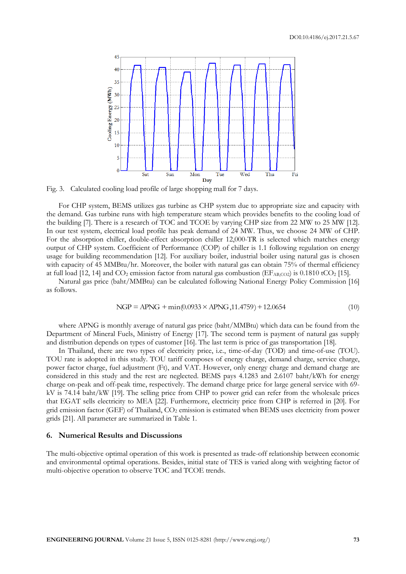

Fig. 3. Calculated cooling load profile of large shopping mall for 7 days.

For CHP system, BEMS utilizes gas turbine as CHP system due to appropriate size and capacity with the demand. Gas turbine runs with high temperature steam which provides benefits to the cooling load of the building [7]. There is a research of TOC and TCOE by varying CHP size from 22 MW to 25 MW [12]. In our test system, electrical load profile has peak demand of 24 MW. Thus, we choose 24 MW of CHP. For the absorption chiller, double-effect absorption chiller 12,000-TR is selected which matches energy output of CHP system. Coefficient of Performance (COP) of chiller is 1.1 following regulation on energy usage for building recommendation [12]. For auxiliary boiler, industrial boiler using natural gas is chosen with capacity of 45 MMBtu/hr. Moreover, the boiler with natural gas can obtain 75% of thermal efficiency at full load [12, 14] and  $CO<sub>2</sub>$  emission factor from natural gas combustion (EF<sub>ABCO2</sub>) is 0.1810 tCO<sub>2</sub> [15].

Natural gas price (baht/MMBtu) can be calculated following National Energy Policy Commission [16] as follows.

$$
NGP = APNG + min(0.0933 \times APNG, 11.4759) + 12.0654
$$
\n(10)

where APNG is monthly average of natural gas price (baht/MMBtu) which data can be found from the Department of Mineral Fuels, Ministry of Energy [17]. The second term is payment of natural gas supply and distribution depends on types of customer [16]. The last term is price of gas transportation [18].

In Thailand, there are two types of electricity price, i.e., time-of-day (TOD) and time-of-use (TOU). TOU rate is adopted in this study. TOU tariff composes of energy charge, demand charge, service charge, power factor charge, fuel adjustment (Ft), and VAT. However, only energy charge and demand charge are considered in this study and the rest are neglected. BEMS pays 4.1283 and 2.6107 baht/kWh for energy charge on-peak and off-peak time, respectively. The demand charge price for large general service with 69 kV is 74.14 baht/kW [19]. The selling price from CHP to power grid can refer from the wholesale prices that EGAT sells electricity to MEA [22]. Furthermore, electricity price from CHP is referred in [20]. For grid emission factor (GEF) of Thailand, CO<sub>2</sub> emission is estimated when BEMS uses electricity from power grids [21]. All parameter are summarized in Table 1.

### **6. Numerical Results and Discussions**

The multi-objective optimal operation of this work is presented as trade-off relationship between economic and environmental optimal operations. Besides, initial state of TES is varied along with weighting factor of multi-objective operation to observe TOC and TCOE trends.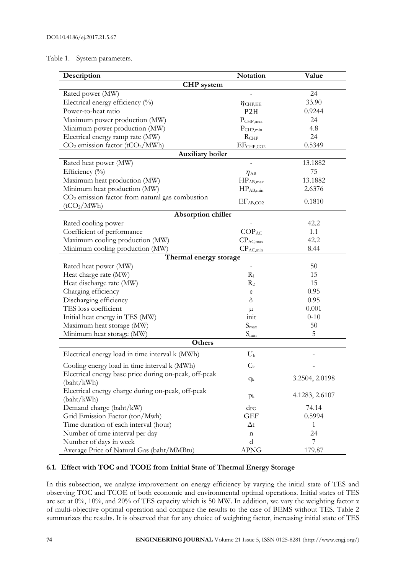# Table 1. System parameters.

| Description                                           | Notation                                                     | Value          |  |  |  |  |  |  |
|-------------------------------------------------------|--------------------------------------------------------------|----------------|--|--|--|--|--|--|
| <b>CHP</b> system                                     |                                                              |                |  |  |  |  |  |  |
| Rated power (MW)                                      |                                                              | 24             |  |  |  |  |  |  |
| Electrical energy efficiency (%)                      | $\eta_{\text{CHP,EE}}$                                       | 33.90          |  |  |  |  |  |  |
| Power-to-heat ratio                                   | P <sub>2</sub> H                                             | 0.9244         |  |  |  |  |  |  |
| Maximum power production (MW)                         | $P_{CHP, max}$                                               | 24             |  |  |  |  |  |  |
| Minimum power production (MW)                         | $P_{CHP,min}$                                                | 4.8            |  |  |  |  |  |  |
| Electrical energy ramp rate (MW)                      | R <sub>CHP</sub>                                             | 24             |  |  |  |  |  |  |
| $CO2$ emission factor (t $CO2/MWh$ )                  | EF <sub>CHP,CO2</sub>                                        | 0.5349         |  |  |  |  |  |  |
| Auxiliary boiler                                      |                                                              |                |  |  |  |  |  |  |
| Rated heat power (MW)                                 |                                                              | 13.1882        |  |  |  |  |  |  |
| Efficiency (%)                                        | $\eta_{AB}$                                                  | 75             |  |  |  |  |  |  |
| Maximum heat production (MW)                          | $HP_{AB,max}$                                                | 13.1882        |  |  |  |  |  |  |
| Minimum heat production (MW)                          | $HP_{AB,min}$                                                | 2.6376         |  |  |  |  |  |  |
| $CO2$ emission factor from natural gas combustion     |                                                              |                |  |  |  |  |  |  |
| (tCO <sub>2</sub> /MWh)                               | EF <sub>AB,CO2</sub>                                         | 0.1810         |  |  |  |  |  |  |
| Absorption chiller                                    |                                                              |                |  |  |  |  |  |  |
| Rated cooling power                                   |                                                              | 42.2           |  |  |  |  |  |  |
| Coefficient of performance                            | $COP_{AC}$                                                   | 1.1            |  |  |  |  |  |  |
| Maximum cooling production (MW)                       | $CP_{AC,max}$                                                | 42.2           |  |  |  |  |  |  |
| Minimum cooling production (MW)                       | $CP_{AC,min}$                                                | 8.44           |  |  |  |  |  |  |
| Thermal energy storage                                |                                                              |                |  |  |  |  |  |  |
| Rated heat power (MW)                                 | $\overline{\phantom{a}}$                                     | 50             |  |  |  |  |  |  |
| Heat charge rate (MW)                                 | $R_1$                                                        | 15             |  |  |  |  |  |  |
| Heat discharge rate (MW)                              | R <sub>2</sub>                                               | 15             |  |  |  |  |  |  |
| Charging efficiency                                   | ε                                                            | 0.95           |  |  |  |  |  |  |
| Discharging efficiency                                | δ                                                            | 0.95           |  |  |  |  |  |  |
| TES loss coefficient                                  | $\mu$                                                        | 0.001          |  |  |  |  |  |  |
| Initial heat energy in TES (MW)                       | init                                                         | $0 - 10$       |  |  |  |  |  |  |
| Maximum heat storage (MW)                             | S <sub>max</sub>                                             | 50             |  |  |  |  |  |  |
| Minimum heat storage (MW)                             | $S_{\min}$                                                   | 5              |  |  |  |  |  |  |
| Others                                                |                                                              |                |  |  |  |  |  |  |
| Electrical energy load in time interval k (MWh)       | $U_k$                                                        |                |  |  |  |  |  |  |
| Cooling energy load in time interval k (MWh)          | $C_{\rm k}$                                                  |                |  |  |  |  |  |  |
| Electrical energy base price during on-peak, off-peak | $q_k$                                                        | 3.2504, 2.0198 |  |  |  |  |  |  |
| (baht/kWh)                                            |                                                              |                |  |  |  |  |  |  |
| (baht/kWh)                                            | Electrical energy charge during on-peak, off-peak<br>$p_{k}$ |                |  |  |  |  |  |  |
| Demand charge (baht/kW)                               | 74.14                                                        |                |  |  |  |  |  |  |
| Grid Emission Factor (ton/Mwh)                        | 0.5994                                                       |                |  |  |  |  |  |  |
| Time duration of each interval (hour)                 | <b>GEF</b><br>$\Delta t$                                     | $\mathbf{1}$   |  |  |  |  |  |  |
| Number of time interval per day                       | n                                                            | 24             |  |  |  |  |  |  |
| Number of days in week                                | d                                                            | 7              |  |  |  |  |  |  |
| Average Price of Natural Gas (baht/MMBtu)             | <b>APNG</b>                                                  | 179.87         |  |  |  |  |  |  |

# **6.1. Effect with TOC and TCOE from Initial State of Thermal Energy Storage**

In this subsection, we analyze improvement on energy efficiency by varying the initial state of TES and observing TOC and TCOE of both economic and environmental optimal operations. Initial states of TES are set at 0%, 10%, and 20% of TES capacity which is 50 MW. In addition, we vary the weighting factor α of multi-objective optimal operation and compare the results to the case of BEMS without TES. Table 2 summarizes the results. It is observed that for any choice of weighting factor, increasing initial state of TES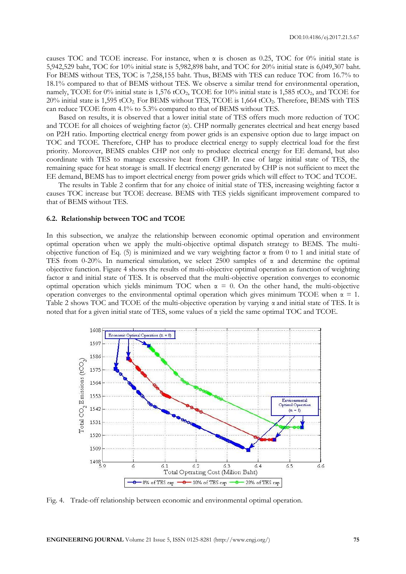causes TOC and TCOE increase. For instance, when  $\alpha$  is chosen as 0.25, TOC for 0% initial state is 5,942,529 baht, TOC for 10% initial state is 5,982,898 baht, and TOC for 20% initial state is 6,049,307 baht. For BEMS without TES, TOC is 7,258,155 baht. Thus, BEMS with TES can reduce TOC from 16.7% to 18.1% compared to that of BEMS without TES. We observe a similar trend for environmental operation, namely, TCOE for 0% initial state is 1,576 tCO<sub>2</sub>, TCOE for 10% initial state is 1,585 tCO<sub>2</sub>, and TCOE for 20% initial state is 1,595 tCO<sub>2</sub>. For BEMS without TES, TCOE is 1,664 tCO<sub>2</sub>. Therefore, BEMS with TES can reduce TCOE from 4.1% to 5.3% compared to that of BEMS without TES.

Based on results, it is observed that a lower initial state of TES offers much more reduction of TOC and TCOE for all choices of weighting factor  $(\alpha)$ . CHP normally generates electrical and heat energy based on P2H ratio. Importing electrical energy from power grids is an expensive option due to large impact on TOC and TCOE. Therefore, CHP has to produce electrical energy to supply electrical load for the first priority. Moreover, BEMS enables CHP not only to produce electrical energy for EE demand, but also coordinate with TES to manage excessive heat from CHP. In case of large initial state of TES, the remaining space for heat storage is small. If electrical energy generated by CHP is not sufficient to meet the EE demand, BEMS has to import electrical energy from power grids which will effect to TOC and TCOE.

The results in Table 2 confirm that for any choice of initial state of TES, increasing weighting factor  $\alpha$ causes TOC increase but TCOE decrease. BEMS with TES yields significant improvement compared to that of BEMS without TES.

#### **6.2. Relationship between TOC and TCOE**

In this subsection, we analyze the relationship between economic optimal operation and environment optimal operation when we apply the multi-objective optimal dispatch strategy to BEMS. The multiobjective function of Eq. (5) is minimized and we vary weighting factor  $\alpha$  from 0 to 1 and initial state of TES from 0-20%. In numerical simulation, we select 2500 samples of  $\alpha$  and determine the optimal objective function. Figure 4 shows the results of multi-objective optimal operation as function of weighting factor  $\alpha$  and initial state of TES. It is observed that the multi-objective operation converges to economic optimal operation which yields minimum TOC when  $\alpha = 0$ . On the other hand, the multi-objective operation converges to the environmental optimal operation which gives minimum TCOE when  $\alpha = 1$ . Table 2 shows TOC and TCOE of the multi-objective operation by varying α and initial state of TES. It is noted that for a given initial state of TES, some values of  $\alpha$  yield the same optimal TOC and TCOE.



Fig. 4. Trade-off relationship between economic and environmental optimal operation.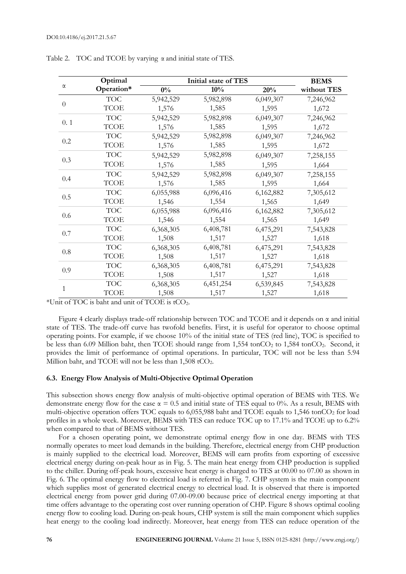|              | Optimal     | Initial state of TES |           |           | <b>BEMS</b> |
|--------------|-------------|----------------------|-----------|-----------|-------------|
| $\alpha$     | Operation*  | $0\%$                | 10%       | 20%       | without TES |
| $\theta$     | <b>TOC</b>  | 5,942,529            | 5,982,898 | 6,049,307 | 7,246,962   |
|              | <b>TCOE</b> | 1,576                | 1,585     | 1,595     | 1,672       |
| 0.1          | <b>TOC</b>  | 5,942,529            | 5,982,898 | 6,049,307 | 7,246,962   |
|              | <b>TCOE</b> | 1,576                | 1,585     | 1,595     | 1,672       |
| 0.2          | <b>TOC</b>  | 5,942,529            | 5,982,898 | 6,049,307 | 7,246,962   |
|              | <b>TCOE</b> | 1,576                | 1,585     | 1,595     | 1,672       |
| 0.3          | <b>TOC</b>  | 5,942,529            | 5,982,898 | 6,049,307 | 7,258,155   |
|              | <b>TCOE</b> | 1,576                | 1,585     | 1,595     | 1,664       |
| 0.4          | <b>TOC</b>  | 5,942,529            | 5,982,898 | 6,049,307 | 7,258,155   |
|              | <b>TCOE</b> | 1,576                | 1,585     | 1,595     | 1,664       |
| 0.5          | <b>TOC</b>  | 6,055,988            | 6,096,416 | 6,162,882 | 7,305,612   |
|              | <b>TCOE</b> | 1,546                | 1,554     | 1,565     | 1,649       |
| 0.6          | <b>TOC</b>  | 6,055,988            | 6,096,416 | 6,162,882 | 7,305,612   |
|              | <b>TCOE</b> | 1,546                | 1,554     | 1,565     | 1,649       |
| 0.7          | <b>TOC</b>  | 6,368,305            | 6,408,781 | 6,475,291 | 7,543,828   |
|              | <b>TCOE</b> | 1,508                | 1,517     | 1,527     | 1,618       |
| $0.8\,$      | <b>TOC</b>  | 6,368,305            | 6,408,781 | 6,475,291 | 7,543,828   |
|              | <b>TCOE</b> | 1,508                | 1,517     | 1,527     | 1,618       |
| 0.9          | <b>TOC</b>  | 6,368,305            | 6,408,781 | 6,475,291 | 7,543,828   |
|              | <b>TCOE</b> | 1,508                | 1,517     | 1,527     | 1,618       |
| $\mathbf{1}$ | <b>TOC</b>  | 6,368,305            | 6,451,254 | 6,539,845 | 7,543,828   |
|              | <b>TCOE</b> | 1,508                | 1,517     | 1,527     | 1,618       |

Table 2. TOC and TCOE by varying α and initial state of TES.

\*Unit of TOC is baht and unit of TCOE is tCO2.

Figure 4 clearly displays trade-off relationship between TOC and TCOE and it depends on  $\alpha$  and initial state of TES. The trade-off curve has twofold benefits. First, it is useful for operator to choose optimal operating points. For example, if we choose 10% of the initial state of TES (red line), TOC is specified to be less than 6.09 Million baht, then TCOE should range from 1,554 tonCO<sub>2</sub> to 1,584 tonCO<sub>2</sub>. Second, it provides the limit of performance of optimal operations. In particular, TOC will not be less than 5.94 Million baht, and TCOE will not be less than 1,508 tCO<sub>2</sub>.

# **6.3. Energy Flow Analysis of Multi-Objective Optimal Operation**

This subsection shows energy flow analysis of multi-objective optimal operation of BEMS with TES. We demonstrate energy flow for the case  $\alpha = 0.5$  and initial state of TES equal to 0%. As a result, BEMS with multi-objective operation offers TOC equals to 6,055,988 baht and TCOE equals to 1,546 tonCO<sub>2</sub> for load profiles in a whole week. Moreover, BEMS with TES can reduce TOC up to 17.1% and TCOE up to 6.2% when compared to that of BEMS without TES.

For a chosen operating point, we demonstrate optimal energy flow in one day. BEMS with TES normally operates to meet load demands in the building. Therefore, electrical energy from CHP production is mainly supplied to the electrical load. Moreover, BEMS will earn profits from exporting of excessive electrical energy during on-peak hour as in Fig. 5. The main heat energy from CHP production is supplied to the chiller. During off-peak hours, excessive heat energy is charged to TES at 00.00 to 07.00 as shown in Fig. 6. The optimal energy flow to electrical load is referred in Fig. 7. CHP system is the main component which supplies most of generated electrical energy to electrical load. It is observed that there is imported electrical energy from power grid during 07.00-09.00 because price of electrical energy importing at that time offers advantage to the operating cost over running operation of CHP. Figure 8 shows optimal cooling energy flow to cooling load. During on-peak hours, CHP system is still the main component which supplies heat energy to the cooling load indirectly. Moreover, heat energy from TES can reduce operation of the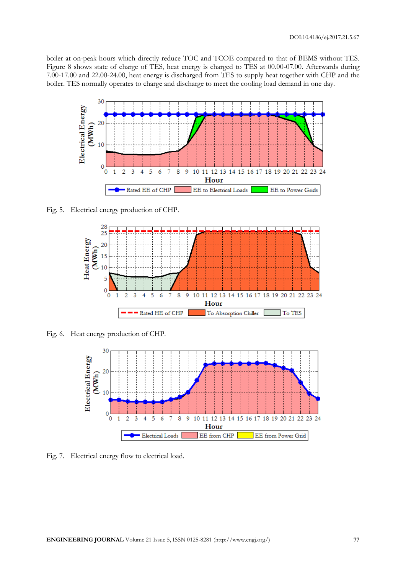boiler at on-peak hours which directly reduce TOC and TCOE compared to that of BEMS without TES. Figure 8 shows state of charge of TES, heat energy is charged to TES at 00.00-07.00. Afterwards during 7.00-17.00 and 22.00-24.00, heat energy is discharged from TES to supply heat together with CHP and the boiler. TES normally operates to charge and discharge to meet the cooling load demand in one day.



Fig. 5. Electrical energy production of CHP.



Fig. 6. Heat energy production of CHP.



Fig. 7. Electrical energy flow to electrical load.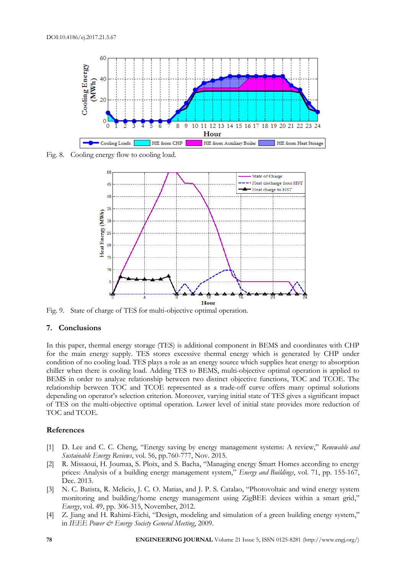

Fig. 8. Cooling energy flow to cooling load.



Fig. 9. State of charge of TES for multi-objective optimal operation.

# **7. Conclusions**

In this paper, thermal energy storage (TES) is additional component in BEMS and coordinates with CHP for the main energy supply. TES stores excessive thermal energy which is generated by CHP under condition of no cooling load. TES plays a role as an energy source which supplies heat energy to absorption chiller when there is cooling load. Adding TES to BEMS, multi-objective optimal operation is applied to BEMS in order to analyze relationship between two distinct objective functions, TOC and TCOE. The relationship between TOC and TCOE represented as a trade-off curve offers many optimal solutions depending on operator's selection criterion. Moreover, varying initial state of TES gives a significant impact of TES on the multi-objective optimal operation. Lower level of initial state provides more reduction of TOC and TCOE.

# **References**

- [1] D. Lee and C. C. Cheng, "Energy saving by energy management systems: A review," *Renewable and Sustainable Energy Reviews*, vol. 56, pp.760-777, Nov. 2015.
- [2] R. Missaoui, H. Joumaa, S. Ploix, and S. Bacha, "Managing energy Smart Homes according to energy prices: Analysis of a building energy management system," *Energy and Buildings*, vol. 71, pp. 155-167, Dec. 2013.
- [3] N. C. Batista, R. Melicio, J. C. O. Matias, and J. P. S. Catalao, "Photovoltaic and wind energy system monitoring and building/home energy management using ZigBEE devices within a smart grid," *Energy*, vol. 49, pp. 306-315, November, 2012.
- [4] Z. Jiang and H. Rahimi-Eichi, "Design, modeling and simulation of a green building energy system," in *IEEE Power & Energy Society General Meeting*, 2009.